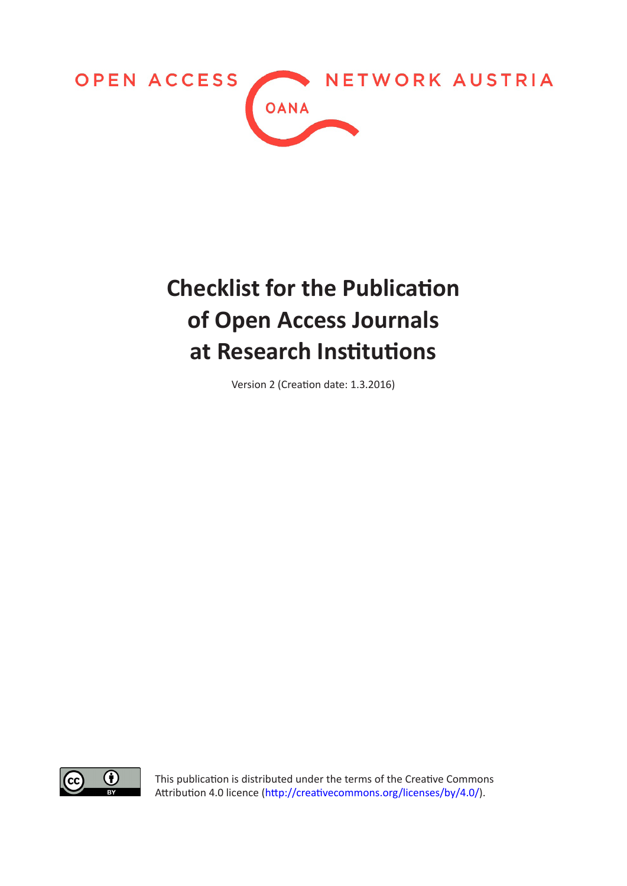

## **Checklist for the Publication of Open Access Journals at Research Institutions**

Version 2 (Creation date: 1.3.2016)



This publication is distributed under the terms of the Creative Commons Attribution 4.0 licence (<http://creativecommons.org/licenses/by/4.0/>).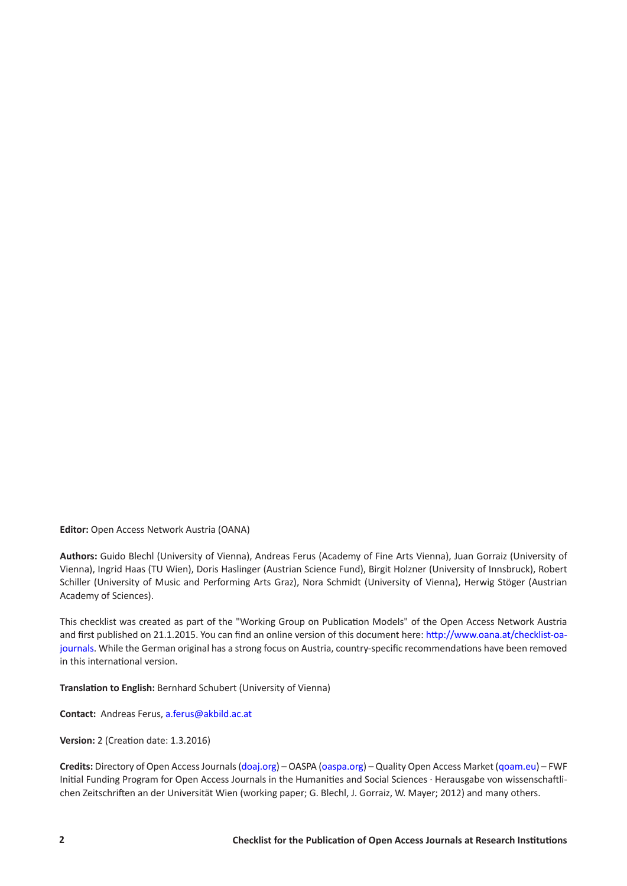**Editor:** Open Access Network Austria (OANA)

**Authors:** Guido Blechl (University of Vienna), Andreas Ferus (Academy of Fine Arts Vienna), Juan Gorraiz (University of Vienna), Ingrid Haas (TU Wien), Doris Haslinger (Austrian Science Fund), Birgit Holzner (University of Innsbruck), Robert Schiller (University of Music and Performing Arts Graz), Nora Schmidt (University of Vienna), Herwig Stöger (Austrian Academy of Sciences).

This checklist was created as part of the "Working Group on Publication Models" of the Open Access Network Austria and first published on 21.1.2015. You can find an online version of this document here: [http://www.oana.at/checklist-oa](http://www.oana.at/checklist-oa-journals)[journals](http://www.oana.at/checklist-oa-journals). While the German original has a strong focus on Austria, country-specific recommendations have been removed in this international version.

**Translation to English:** Bernhard Schubert (University of Vienna)

**Contact:** Andreas Ferus, [a.ferus@akbild.ac.at](mailto:a.ferus@akbild.ac.at)

**Version:** 2 (Creation date: 1.3.2016)

**Credits:** Directory of Open Access Journals [\(doaj.org\)](http://doaj.org/) – OASPA ([oaspa.org](http://oaspa.org/)) – Quality Open Access Market ([qoam.eu](http://www.qoam.eu/)) – FWF Initial Funding Program for Open Access Journals in the Humanities and Social Sciences · Herausgabe von wissenschaftlichen Zeitschriften an der Universität Wien (working paper; G. Blechl, J. Gorraiz, W. Mayer; 2012) and many others.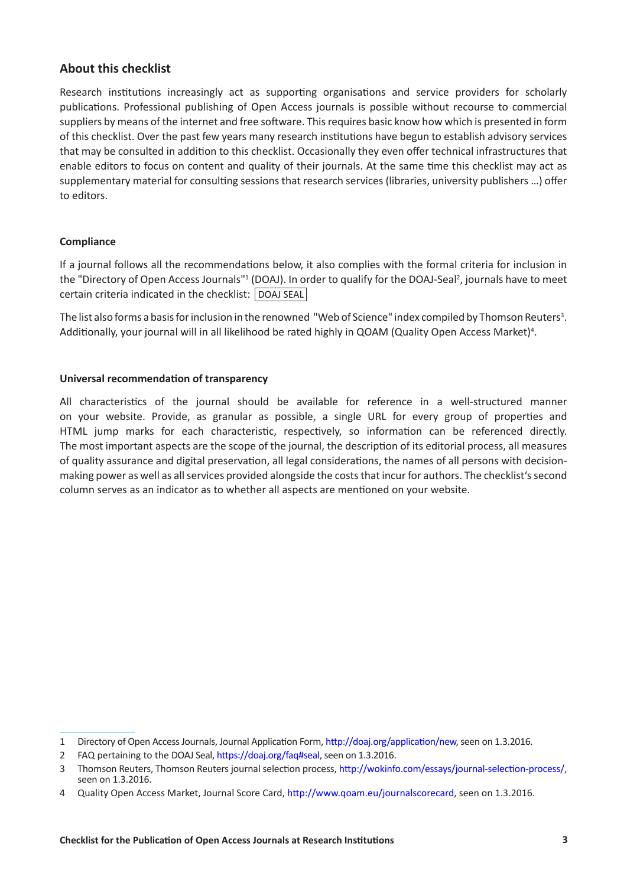## **About this checklist**

Research institutions increasingly act as supporting organisations and service providers for scholarly publications. Professional publishing of Open Access journals is possible without recourse to commercial suppliers by means of the internet and free software. This requires basic know how which is presented in form of this checklist. Over the past few years many research institutions have begun to establish advisory services that may be consulted in addition to this checklist. Occasionally they even offer technical infrastructures that enable editors to focus on content and quality of their journals. At the same time this checklist may act as supplementary material for consulting sessions that research services (libraries, university publishers …) offer to editors.

## **Compliance**

If a journal follows all the recommendations below, it also complies with the formal criteria for inclusion in the "Directory of Open Access Journals"<sup>1</sup> (DOAJ). In order to qualify for the DOAJ-Seal<sup>2</sup>, journals have to meet certain criteria indicated in the checklist: DOAJ SEAL

The list also forms a basis for inclusion in the renowned "Web of Science" index compiled by Thomson Reuters $^3$ . Additionally, your journal will in all likelihood be rated highly in QOAM (Quality Open Access Market)<sup>4</sup>.

## **Universal recommendation of transparency**

All characteristics of the journal should be available for reference in a well-structured manner on your website. Provide, as granular as possible, a single URL for every group of properties and HTML jump marks for each characteristic, respectively, so information can be referenced directly. The most important aspects are the scope of the journal, the description of its editorial process, all measures of quality assurance and digital preservation, all legal considerations, the names of all persons with decisionmaking power as well as all services provided alongside the costs that incur for authors. The checklist's second column serves as an indicator as to whether all aspects are mentioned on your website.

<sup>1</sup> Directory of Open Access Journals, Journal Application Form,<http://doaj.org/application/new>, seen on 1.3.2016.

<sup>2</sup> FAQ pertaining to the DOAJ Seal, [https://doaj.org/faq#seal,](https://doaj.org/faq#seal) seen on 1.3.2016.

<sup>3</sup> Thomson Reuters, Thomson Reuters journal selection process,<http://wokinfo.com/essays/journal-selection-process/>, seen on 1.3.2016.

<sup>4</sup> Quality Open Access Market, Journal Score Card, <http://www.qoam.eu/journalscorecard>, seen on 1.3.2016.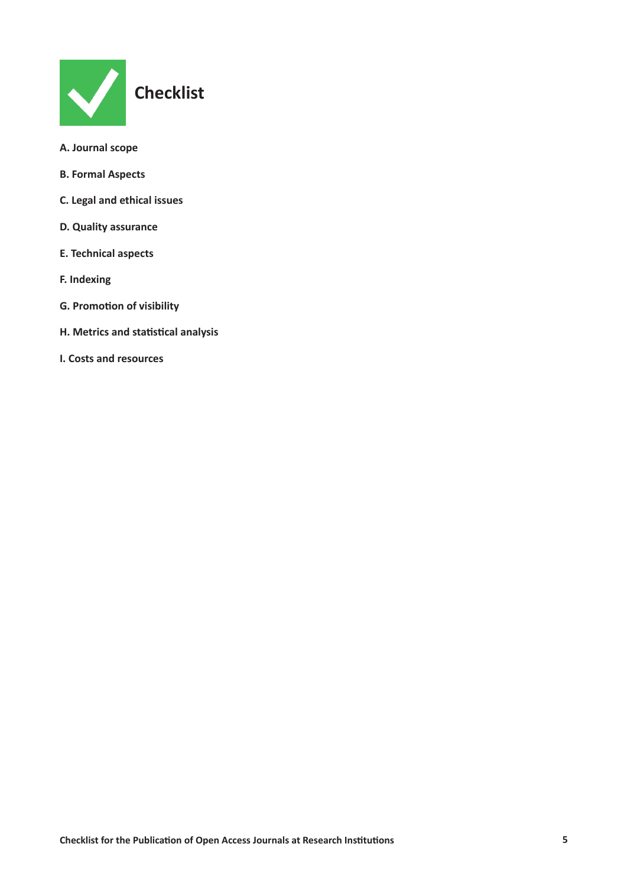

- **[A. Journal scope](#page-5-0)**
- **[B. Formal Aspects](#page-5-0)**
- **[C. Legal and ethical issues](#page-7-0)**
- **[D. Quality assurance](#page-8-0)**
- **[E. Technical aspects](#page-9-0)**
- **[F. Indexing](#page-10-0)**
- **[G. Promotion of visibility](#page-11-0)**
- **[H. Metrics and statistical analysis](#page-12-0)**
- **[I. Costs and resources](#page-13-0)**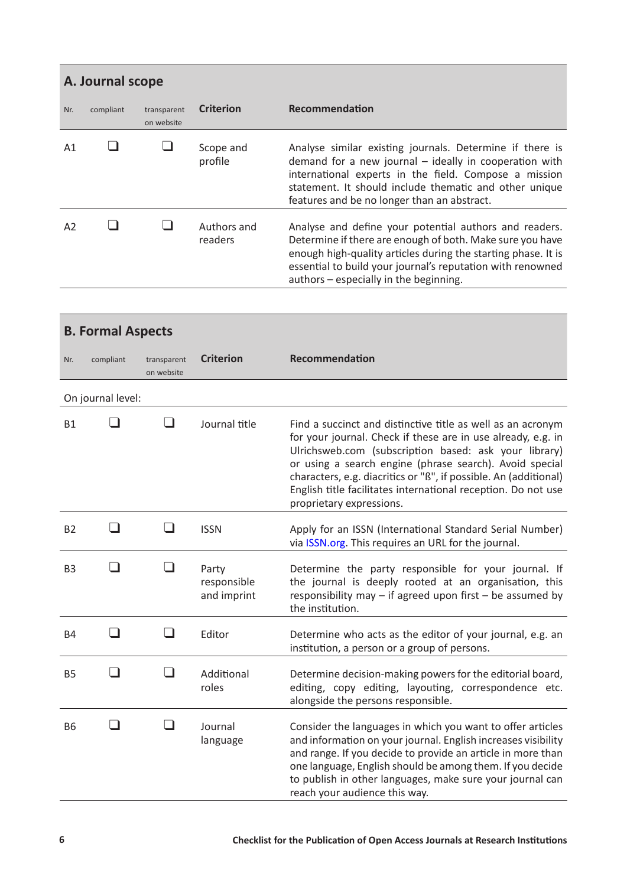<span id="page-5-0"></span>

|                | A. Journal scope |                           |                        |                                                                                                                                                                                                                                                                                              |  |  |
|----------------|------------------|---------------------------|------------------------|----------------------------------------------------------------------------------------------------------------------------------------------------------------------------------------------------------------------------------------------------------------------------------------------|--|--|
| Nr.            | compliant        | transparent<br>on website | <b>Criterion</b>       | Recommendation                                                                                                                                                                                                                                                                               |  |  |
| A <sub>1</sub> |                  |                           | Scope and<br>profile   | Analyse similar existing journals. Determine if there is<br>demand for a new journal - ideally in cooperation with<br>international experts in the field. Compose a mission<br>statement. It should include thematic and other unique<br>features and be no longer than an abstract.         |  |  |
| A <sub>2</sub> |                  |                           | Authors and<br>readers | Analyse and define your potential authors and readers.<br>Determine if there are enough of both. Make sure you have<br>enough high-quality articles during the starting phase. It is<br>essential to build your journal's reputation with renowned<br>authors - especially in the beginning. |  |  |

|                | <b>B. Formal Aspects</b> |                           |                                     |                                                                                                                                                                                                                                                                                                                                                                                                                  |  |  |
|----------------|--------------------------|---------------------------|-------------------------------------|------------------------------------------------------------------------------------------------------------------------------------------------------------------------------------------------------------------------------------------------------------------------------------------------------------------------------------------------------------------------------------------------------------------|--|--|
| Nr.            | compliant                | transparent<br>on website | <b>Criterion</b>                    | Recommendation                                                                                                                                                                                                                                                                                                                                                                                                   |  |  |
|                | On journal level:        |                           |                                     |                                                                                                                                                                                                                                                                                                                                                                                                                  |  |  |
| <b>B1</b>      |                          |                           | Journal title                       | Find a succinct and distinctive title as well as an acronym<br>for your journal. Check if these are in use already, e.g. in<br>Ulrichsweb.com (subscription based: ask your library)<br>or using a search engine (phrase search). Avoid special<br>characters, e.g. diacritics or "ß", if possible. An (additional)<br>English title facilitates international reception. Do not use<br>proprietary expressions. |  |  |
| <b>B2</b>      | - 1                      | - 1                       | <b>ISSN</b>                         | Apply for an ISSN (International Standard Serial Number)<br>via ISSN.org. This requires an URL for the journal.                                                                                                                                                                                                                                                                                                  |  |  |
| B <sub>3</sub> | - 1                      | - 1                       | Party<br>responsible<br>and imprint | Determine the party responsible for your journal. If<br>the journal is deeply rooted at an organisation, this<br>responsibility may $-$ if agreed upon first $-$ be assumed by<br>the institution.                                                                                                                                                                                                               |  |  |
| <b>B4</b>      | - 1                      | - 1                       | Editor                              | Determine who acts as the editor of your journal, e.g. an<br>institution, a person or a group of persons.                                                                                                                                                                                                                                                                                                        |  |  |
| <b>B5</b>      | - 1                      | - 1                       | Additional<br>roles                 | Determine decision-making powers for the editorial board,<br>editing, copy editing, layouting, correspondence etc.<br>alongside the persons responsible.                                                                                                                                                                                                                                                         |  |  |
| <b>B6</b>      |                          |                           | Journal<br>language                 | Consider the languages in which you want to offer articles<br>and information on your journal. English increases visibility<br>and range. If you decide to provide an article in more than<br>one language, English should be among them. If you decide<br>to publish in other languages, make sure your journal can<br>reach your audience this way.                                                            |  |  |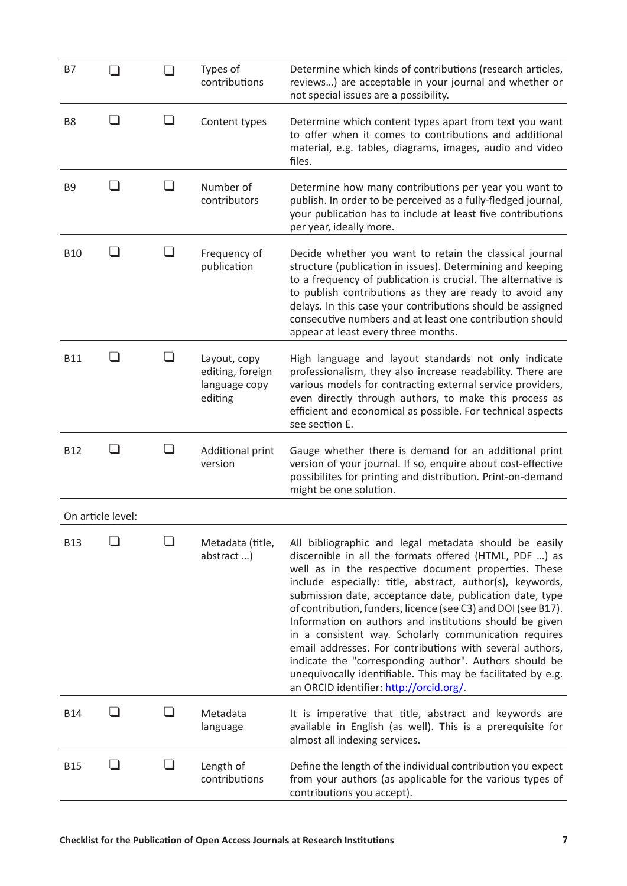| <b>B7</b>      | . I               |                          | Types of<br>contributions                                    | Determine which kinds of contributions (research articles,<br>reviews) are acceptable in your journal and whether or<br>not special issues are a possibility.                                                                                                                                                                                                                                                                                                                                                                                                                                                                                                                                                         |
|----------------|-------------------|--------------------------|--------------------------------------------------------------|-----------------------------------------------------------------------------------------------------------------------------------------------------------------------------------------------------------------------------------------------------------------------------------------------------------------------------------------------------------------------------------------------------------------------------------------------------------------------------------------------------------------------------------------------------------------------------------------------------------------------------------------------------------------------------------------------------------------------|
| B <sub>8</sub> | - 1               |                          | Content types                                                | Determine which content types apart from text you want<br>to offer when it comes to contributions and additional<br>material, e.g. tables, diagrams, images, audio and video<br>files.                                                                                                                                                                                                                                                                                                                                                                                                                                                                                                                                |
| B <sub>9</sub> | - 1               | - 1                      | Number of<br>contributors                                    | Determine how many contributions per year you want to<br>publish. In order to be perceived as a fully-fledged journal,<br>your publication has to include at least five contributions<br>per year, ideally more.                                                                                                                                                                                                                                                                                                                                                                                                                                                                                                      |
| <b>B10</b>     |                   |                          | Frequency of<br>publication                                  | Decide whether you want to retain the classical journal<br>structure (publication in issues). Determining and keeping<br>to a frequency of publication is crucial. The alternative is<br>to publish contributions as they are ready to avoid any<br>delays. In this case your contributions should be assigned<br>consecutive numbers and at least one contribution should<br>appear at least every three months.                                                                                                                                                                                                                                                                                                     |
| <b>B11</b>     |                   |                          | Layout, copy<br>editing, foreign<br>language copy<br>editing | High language and layout standards not only indicate<br>professionalism, they also increase readability. There are<br>various models for contracting external service providers,<br>even directly through authors, to make this process as<br>efficient and economical as possible. For technical aspects<br>see section E.                                                                                                                                                                                                                                                                                                                                                                                           |
| <b>B12</b>     |                   |                          | Additional print<br>version                                  | Gauge whether there is demand for an additional print<br>version of your journal. If so, enquire about cost-effective<br>possibilites for printing and distribution. Print-on-demand<br>might be one solution.                                                                                                                                                                                                                                                                                                                                                                                                                                                                                                        |
|                | On article level: |                          |                                                              |                                                                                                                                                                                                                                                                                                                                                                                                                                                                                                                                                                                                                                                                                                                       |
| <b>B13</b>     |                   |                          | Metadata (title,<br>abstract)                                | All bibliographic and legal metadata should be easily<br>discernible in all the formats offered (HTML, PDF ) as<br>well as in the respective document properties. These<br>include especially: title, abstract, author(s), keywords,<br>submission date, acceptance date, publication date, type<br>of contribution, funders, licence (see C3) and DOI (see B17).<br>Information on authors and institutions should be given<br>in a consistent way. Scholarly communication requires<br>email addresses. For contributions with several authors,<br>indicate the "corresponding author". Authors should be<br>unequivocally identifiable. This may be facilitated by e.g.<br>an ORCID identifier: http://orcid.org/. |
| <b>B14</b>     |                   |                          | Metadata<br>language                                         | It is imperative that title, abstract and keywords are<br>available in English (as well). This is a prerequisite for<br>almost all indexing services.                                                                                                                                                                                                                                                                                                                                                                                                                                                                                                                                                                 |
| <b>B15</b>     |                   | $\overline{\phantom{0}}$ | Length of<br>contributions                                   | Define the length of the individual contribution you expect<br>from your authors (as applicable for the various types of<br>contributions you accept).                                                                                                                                                                                                                                                                                                                                                                                                                                                                                                                                                                |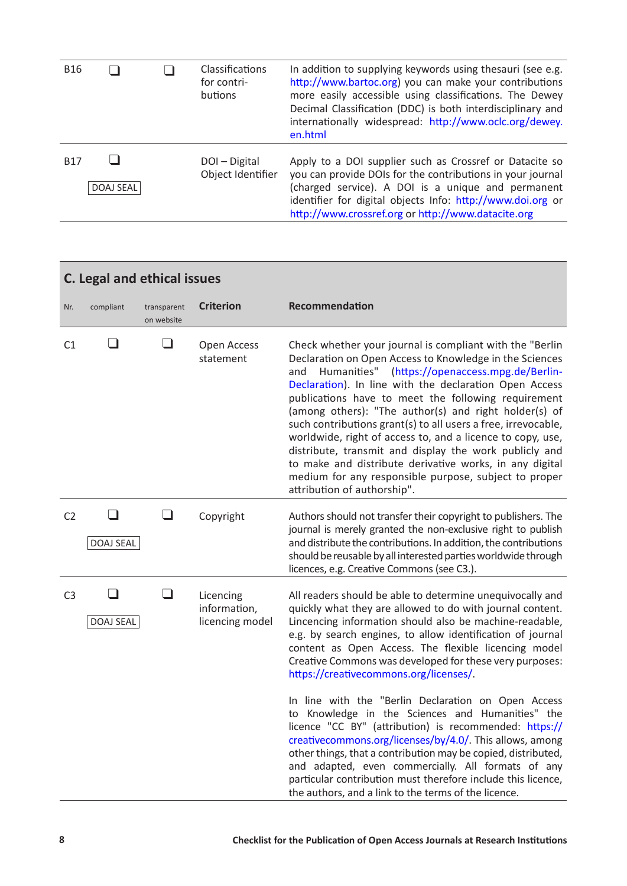<span id="page-7-0"></span>

| <b>B16</b> |           | Classifications<br>for contri-<br>butions | In addition to supplying keywords using thesauri (see e.g.<br>http://www.bartoc.org) you can make your contributions<br>more easily accessible using classifications. The Dewey<br>Decimal Classification (DDC) is both interdisciplinary and<br>internationally widespread: http://www.oclc.org/dewey.<br>en.html |
|------------|-----------|-------------------------------------------|--------------------------------------------------------------------------------------------------------------------------------------------------------------------------------------------------------------------------------------------------------------------------------------------------------------------|
| <b>B17</b> | DOAJ SEAL | DOI-Digital<br>Object Identifier          | Apply to a DOI supplier such as Crossref or Datacite so<br>you can provide DOIs for the contributions in your journal<br>(charged service). A DOI is a unique and permanent<br>identifier for digital objects Info: http://www.doi.org or<br>http://www.crossref.org or http://www.datacite.org                    |

|                | <b>C. Legal and ethical issues</b> |                           |                                              |                                                                                                                                                                                                                                                                                                                                                                                                                                                                                                                                                                                                                                                                                                     |  |  |  |
|----------------|------------------------------------|---------------------------|----------------------------------------------|-----------------------------------------------------------------------------------------------------------------------------------------------------------------------------------------------------------------------------------------------------------------------------------------------------------------------------------------------------------------------------------------------------------------------------------------------------------------------------------------------------------------------------------------------------------------------------------------------------------------------------------------------------------------------------------------------------|--|--|--|
| Nr.            | compliant                          | transparent<br>on website | <b>Criterion</b>                             | Recommendation                                                                                                                                                                                                                                                                                                                                                                                                                                                                                                                                                                                                                                                                                      |  |  |  |
| C1             | - 1                                | $\Box$                    | Open Access<br>statement                     | Check whether your journal is compliant with the "Berlin"<br>Declaration on Open Access to Knowledge in the Sciences<br>Humanities" (https://openaccess.mpg.de/Berlin-<br>and<br>Declaration). In line with the declaration Open Access<br>publications have to meet the following requirement<br>(among others): "The author(s) and right holder(s) of<br>such contributions grant(s) to all users a free, irrevocable,<br>worldwide, right of access to, and a licence to copy, use,<br>distribute, transmit and display the work publicly and<br>to make and distribute derivative works, in any digital<br>medium for any responsible purpose, subject to proper<br>attribution of authorship". |  |  |  |
| C <sub>2</sub> | - 1<br>DOAJ SEAL                   | - 1                       | Copyright                                    | Authors should not transfer their copyright to publishers. The<br>journal is merely granted the non-exclusive right to publish<br>and distribute the contributions. In addition, the contributions<br>should be reusable by all interested parties worldwide through<br>licences, e.g. Creative Commons (see C3.).                                                                                                                                                                                                                                                                                                                                                                                  |  |  |  |
| C <sub>3</sub> | DOAJ SEAL                          | ┚                         | Licencing<br>information,<br>licencing model | All readers should be able to determine unequivocally and<br>quickly what they are allowed to do with journal content.<br>Lincencing information should also be machine-readable,<br>e.g. by search engines, to allow identification of journal<br>content as Open Access. The flexible licencing model<br>Creative Commons was developed for these very purposes:<br>https://creativecommons.org/licenses/.                                                                                                                                                                                                                                                                                        |  |  |  |
|                |                                    |                           |                                              | In line with the "Berlin Declaration on Open Access<br>to Knowledge in the Sciences and Humanities" the<br>licence "CC BY" (attribution) is recommended: https://<br>creativecommons.org/licenses/by/4.0/. This allows, among<br>other things, that a contribution may be copied, distributed,<br>and adapted, even commercially. All formats of any<br>particular contribution must therefore include this licence,<br>the authors, and a link to the terms of the licence.                                                                                                                                                                                                                        |  |  |  |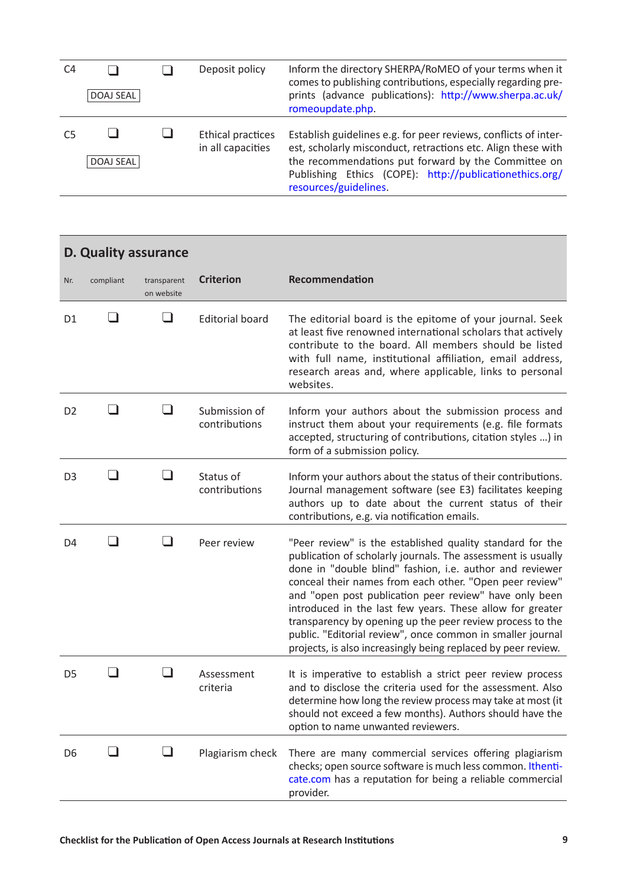<span id="page-8-0"></span>

| C4 | DOAJ SEAL        | Deposit policy                         | Inform the directory SHERPA/RoMEO of your terms when it<br>comes to publishing contributions, especially regarding pre-<br>prints (advance publications): http://www.sherpa.ac.uk/<br>romeoupdate.php.                                                                     |
|----|------------------|----------------------------------------|----------------------------------------------------------------------------------------------------------------------------------------------------------------------------------------------------------------------------------------------------------------------------|
|    | <b>DOAJ SEAL</b> | Ethical practices<br>in all capacities | Establish guidelines e.g. for peer reviews, conflicts of inter-<br>est, scholarly misconduct, retractions etc. Align these with<br>the recommendations put forward by the Committee on<br>Publishing Ethics (COPE): http://publicationethics.org/<br>resources/guidelines. |

|                | D. Quality assurance |                           |                                |                                                                                                                                                                                                                                                                                                                                                                                                                                                                                                                                                                     |
|----------------|----------------------|---------------------------|--------------------------------|---------------------------------------------------------------------------------------------------------------------------------------------------------------------------------------------------------------------------------------------------------------------------------------------------------------------------------------------------------------------------------------------------------------------------------------------------------------------------------------------------------------------------------------------------------------------|
| Nr.            | compliant            | transparent<br>on website | <b>Criterion</b>               | <b>Recommendation</b>                                                                                                                                                                                                                                                                                                                                                                                                                                                                                                                                               |
| D <sub>1</sub> |                      | - 1                       | <b>Editorial board</b>         | The editorial board is the epitome of your journal. Seek<br>at least five renowned international scholars that actively<br>contribute to the board. All members should be listed<br>with full name, institutional affiliation, email address,<br>research areas and, where applicable, links to personal<br>websites.                                                                                                                                                                                                                                               |
| D <sub>2</sub> |                      |                           | Submission of<br>contributions | Inform your authors about the submission process and<br>instruct them about your requirements (e.g. file formats<br>accepted, structuring of contributions, citation styles ) in<br>form of a submission policy.                                                                                                                                                                                                                                                                                                                                                    |
| D <sub>3</sub> | - 1                  | - 1                       | Status of<br>contributions     | Inform your authors about the status of their contributions.<br>Journal management software (see E3) facilitates keeping<br>authors up to date about the current status of their<br>contributions, e.g. via notification emails.                                                                                                                                                                                                                                                                                                                                    |
| D <sub>4</sub> |                      | - 1                       | Peer review                    | "Peer review" is the established quality standard for the<br>publication of scholarly journals. The assessment is usually<br>done in "double blind" fashion, i.e. author and reviewer<br>conceal their names from each other. "Open peer review"<br>and "open post publication peer review" have only been<br>introduced in the last few years. These allow for greater<br>transparency by opening up the peer review process to the<br>public. "Editorial review", once common in smaller journal<br>projects, is also increasingly being replaced by peer review. |
| D <sub>5</sub> |                      |                           | Assessment<br>criteria         | It is imperative to establish a strict peer review process<br>and to disclose the criteria used for the assessment. Also<br>determine how long the review process may take at most (it<br>should not exceed a few months). Authors should have the<br>option to name unwanted reviewers.                                                                                                                                                                                                                                                                            |
| D6             | - 1                  | $\Box$                    | Plagiarism check               | There are many commercial services offering plagiarism<br>checks; open source software is much less common. Ithenti-<br>cate.com has a reputation for being a reliable commercial<br>provider.                                                                                                                                                                                                                                                                                                                                                                      |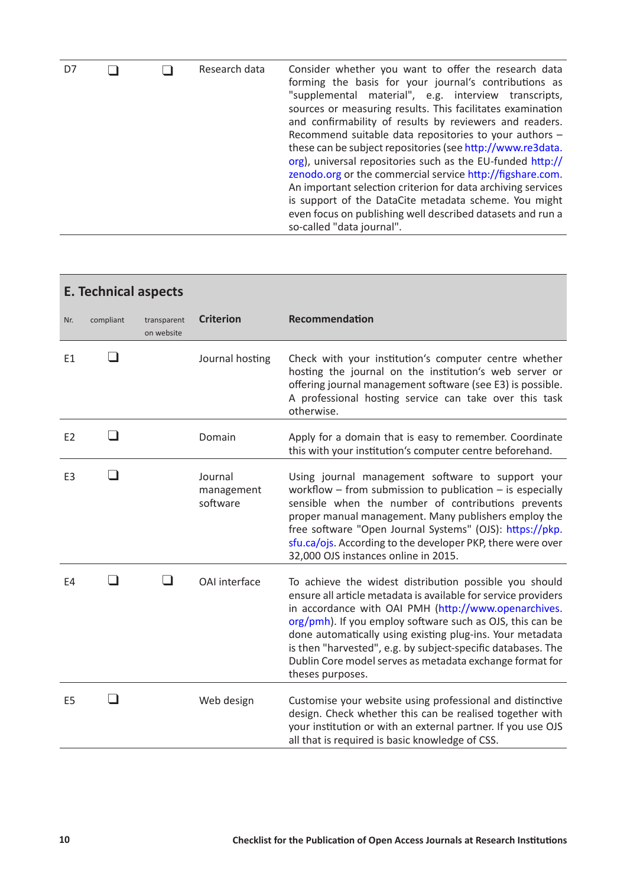<span id="page-9-0"></span>

| D7 |  |  | Research data | Consider whether you want to offer the research data<br>forming the basis for your journal's contributions as<br>"supplemental material", e.g. interview transcripts,<br>sources or measuring results. This facilitates examination<br>and confirmability of results by reviewers and readers.<br>Recommend suitable data repositories to your authors -<br>these can be subject repositories (see http://www.re3data.<br>org), universal repositories such as the EU-funded http://<br>zenodo.org or the commercial service http://figshare.com.<br>An important selection criterion for data archiving services<br>is support of the DataCite metadata scheme. You might<br>even focus on publishing well described datasets and run a<br>so-called "data journal". |
|----|--|--|---------------|-----------------------------------------------------------------------------------------------------------------------------------------------------------------------------------------------------------------------------------------------------------------------------------------------------------------------------------------------------------------------------------------------------------------------------------------------------------------------------------------------------------------------------------------------------------------------------------------------------------------------------------------------------------------------------------------------------------------------------------------------------------------------|
|----|--|--|---------------|-----------------------------------------------------------------------------------------------------------------------------------------------------------------------------------------------------------------------------------------------------------------------------------------------------------------------------------------------------------------------------------------------------------------------------------------------------------------------------------------------------------------------------------------------------------------------------------------------------------------------------------------------------------------------------------------------------------------------------------------------------------------------|

|                | <b>E. Technical aspects</b> |                           |                                   |                                                                                                                                                                                                                                                                                                                                                                                                                                                            |  |  |  |
|----------------|-----------------------------|---------------------------|-----------------------------------|------------------------------------------------------------------------------------------------------------------------------------------------------------------------------------------------------------------------------------------------------------------------------------------------------------------------------------------------------------------------------------------------------------------------------------------------------------|--|--|--|
| Nr.            | compliant                   | transparent<br>on website | <b>Criterion</b>                  | <b>Recommendation</b>                                                                                                                                                                                                                                                                                                                                                                                                                                      |  |  |  |
| E1             |                             |                           | Journal hosting                   | Check with your institution's computer centre whether<br>hosting the journal on the institution's web server or<br>offering journal management software (see E3) is possible.<br>A professional hosting service can take over this task<br>otherwise.                                                                                                                                                                                                      |  |  |  |
| E <sub>2</sub> | - 1                         |                           | Domain                            | Apply for a domain that is easy to remember. Coordinate<br>this with your institution's computer centre beforehand.                                                                                                                                                                                                                                                                                                                                        |  |  |  |
| E <sub>3</sub> |                             |                           | Journal<br>management<br>software | Using journal management software to support your<br>workflow $-$ from submission to publication $-$ is especially<br>sensible when the number of contributions prevents<br>proper manual management. Many publishers employ the<br>free software "Open Journal Systems" (OJS): https://pkp.<br>sfu.ca/ojs. According to the developer PKP, there were over<br>32,000 OJS instances online in 2015.                                                        |  |  |  |
| E4             | - 1                         | - 1                       | OAI interface                     | To achieve the widest distribution possible you should<br>ensure all article metadata is available for service providers<br>in accordance with OAI PMH (http://www.openarchives.<br>org/pmh). If you employ software such as OJS, this can be<br>done automatically using existing plug-ins. Your metadata<br>is then "harvested", e.g. by subject-specific databases. The<br>Dublin Core model serves as metadata exchange format for<br>theses purposes. |  |  |  |
| E <sub>5</sub> |                             |                           | Web design                        | Customise your website using professional and distinctive<br>design. Check whether this can be realised together with<br>your institution or with an external partner. If you use OJS<br>all that is required is basic knowledge of CSS.                                                                                                                                                                                                                   |  |  |  |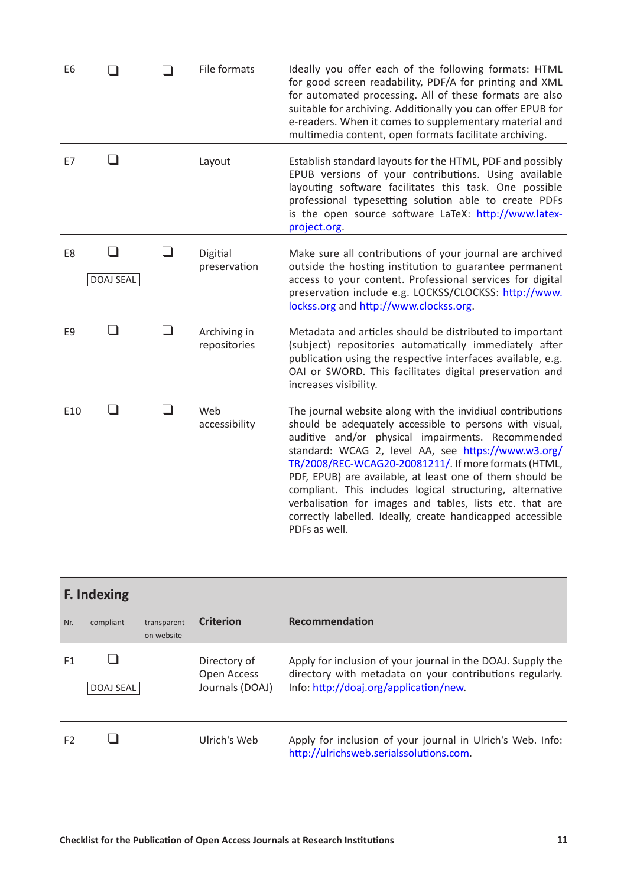<span id="page-10-0"></span>

| E <sub>6</sub> |           |                          | File formats                 | Ideally you offer each of the following formats: HTML<br>for good screen readability, PDF/A for printing and XML<br>for automated processing. All of these formats are also<br>suitable for archiving. Additionally you can offer EPUB for<br>e-readers. When it comes to supplementary material and<br>multimedia content, open formats facilitate archiving.                                                                                                                                                                                                |
|----------------|-----------|--------------------------|------------------------------|---------------------------------------------------------------------------------------------------------------------------------------------------------------------------------------------------------------------------------------------------------------------------------------------------------------------------------------------------------------------------------------------------------------------------------------------------------------------------------------------------------------------------------------------------------------|
| E7             |           |                          | Layout                       | Establish standard layouts for the HTML, PDF and possibly<br>EPUB versions of your contributions. Using available<br>layouting software facilitates this task. One possible<br>professional typesetting solution able to create PDFs<br>is the open source software LaTeX: http://www.latex-<br>project.org.                                                                                                                                                                                                                                                  |
| E8             | DOAJ SEAL |                          | Digitial<br>preservation     | Make sure all contributions of your journal are archived<br>outside the hosting institution to guarantee permanent<br>access to your content. Professional services for digital<br>preservation include e.g. LOCKSS/CLOCKSS: http://www.<br>lockss.org and http://www.clockss.org.                                                                                                                                                                                                                                                                            |
| E <sub>9</sub> | - 1       | $\overline{\phantom{0}}$ | Archiving in<br>repositories | Metadata and articles should be distributed to important<br>(subject) repositories automatically immediately after<br>publication using the respective interfaces available, e.g.<br>OAI or SWORD. This facilitates digital preservation and<br>increases visibility.                                                                                                                                                                                                                                                                                         |
| E10            | ┓         | - 1                      | Web<br>accessibility         | The journal website along with the invidiual contributions<br>should be adequately accessible to persons with visual,<br>auditive and/or physical impairments. Recommended<br>standard: WCAG 2, level AA, see https://www.w3.org/<br>TR/2008/REC-WCAG20-20081211/. If more formats (HTML,<br>PDF, EPUB) are available, at least one of them should be<br>compliant. This includes logical structuring, alternative<br>verbalisation for images and tables, lists etc. that are<br>correctly labelled. Ideally, create handicapped accessible<br>PDFs as well. |

|                | <b>F. Indexing</b> |                           |                                                |                                                                                                                                                                   |  |  |
|----------------|--------------------|---------------------------|------------------------------------------------|-------------------------------------------------------------------------------------------------------------------------------------------------------------------|--|--|
| Nr.            | compliant          | transparent<br>on website | <b>Criterion</b>                               | Recommendation                                                                                                                                                    |  |  |
| F <sub>1</sub> | <b>DOAJ SEAL</b>   |                           | Directory of<br>Open Access<br>Journals (DOAJ) | Apply for inclusion of your journal in the DOAJ. Supply the<br>directory with metadata on your contributions regularly.<br>Info: http://doaj.org/application/new. |  |  |
| F <sub>2</sub> |                    |                           | Ulrich's Web                                   | Apply for inclusion of your journal in Ulrich's Web. Info:<br>http://ulrichsweb.serialssolutions.com.                                                             |  |  |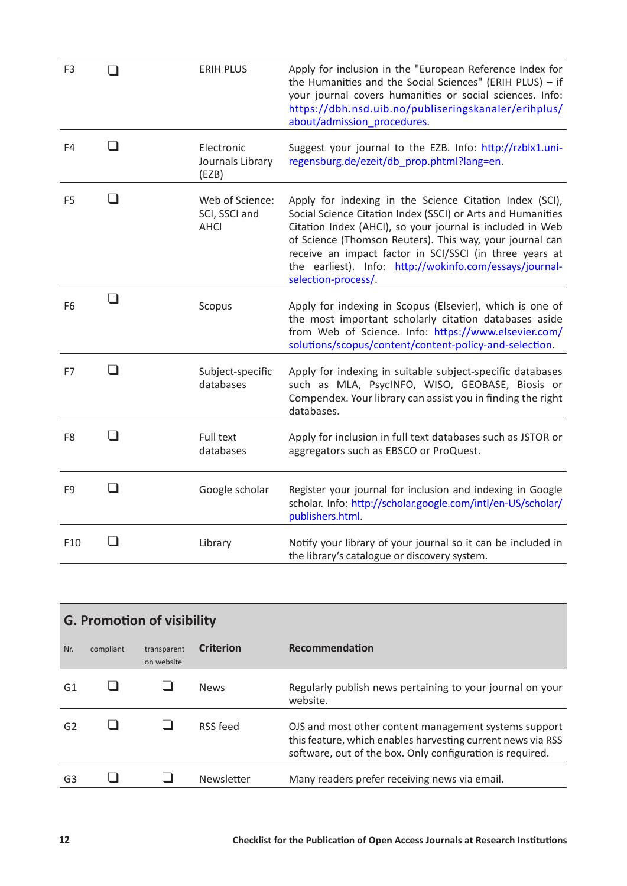<span id="page-11-0"></span>

| F <sub>3</sub> |                          | <b>ERIH PLUS</b>                                | Apply for inclusion in the "European Reference Index for<br>the Humanities and the Social Sciences" (ERIH PLUS) - if<br>your journal covers humanities or social sciences. Info:<br>https://dbh.nsd.uib.no/publiseringskanaler/erihplus/<br>about/admission_procedures.                                                                                                                      |
|----------------|--------------------------|-------------------------------------------------|----------------------------------------------------------------------------------------------------------------------------------------------------------------------------------------------------------------------------------------------------------------------------------------------------------------------------------------------------------------------------------------------|
| F4             | - 1                      | Electronic<br>Journals Library<br>(EZB)         | Suggest your journal to the EZB. Info: http://rzblx1.uni-<br>regensburg.de/ezeit/db prop.phtml?lang=en.                                                                                                                                                                                                                                                                                      |
| F <sub>5</sub> | $\overline{\phantom{a}}$ | Web of Science:<br>SCI, SSCI and<br><b>AHCI</b> | Apply for indexing in the Science Citation Index (SCI),<br>Social Science Citation Index (SSCI) or Arts and Humanities<br>Citation Index (AHCI), so your journal is included in Web<br>of Science (Thomson Reuters). This way, your journal can<br>receive an impact factor in SCI/SSCI (in three years at<br>the earliest). Info: http://wokinfo.com/essays/journal-<br>selection-process/. |
| F <sub>6</sub> | - 1                      | Scopus                                          | Apply for indexing in Scopus (Elsevier), which is one of<br>the most important scholarly citation databases aside<br>from Web of Science. Info: https://www.elsevier.com/<br>solutions/scopus/content/content-policy-and-selection.                                                                                                                                                          |
| F7             |                          | Subject-specific<br>databases                   | Apply for indexing in suitable subject-specific databases<br>such as MLA, PsycINFO, WISO, GEOBASE, Biosis or<br>Compendex. Your library can assist you in finding the right<br>databases.                                                                                                                                                                                                    |
| F <sub>8</sub> |                          | Full text<br>databases                          | Apply for inclusion in full text databases such as JSTOR or<br>aggregators such as EBSCO or ProQuest.                                                                                                                                                                                                                                                                                        |
| F <sub>9</sub> | - 1                      | Google scholar                                  | Register your journal for inclusion and indexing in Google<br>scholar. Info: http://scholar.google.com/intl/en-US/scholar/<br>publishers.html.                                                                                                                                                                                                                                               |
| F10            | $\blacksquare$           | Library                                         | Notify your library of your journal so it can be included in<br>the library's catalogue or discovery system.                                                                                                                                                                                                                                                                                 |

| <b>G. Promotion of visibility</b> |           |                           |                  |                                                                                                                                                                                   |  |
|-----------------------------------|-----------|---------------------------|------------------|-----------------------------------------------------------------------------------------------------------------------------------------------------------------------------------|--|
| Nr.                               | compliant | transparent<br>on website | <b>Criterion</b> | Recommendation                                                                                                                                                                    |  |
| G1                                |           |                           | <b>News</b>      | Regularly publish news pertaining to your journal on your<br>website.                                                                                                             |  |
| G <sub>2</sub>                    |           |                           | RSS feed         | OJS and most other content management systems support<br>this feature, which enables harvesting current news via RSS<br>software, out of the box. Only configuration is required. |  |
| G <sub>3</sub>                    |           |                           | Newsletter       | Many readers prefer receiving news via email.                                                                                                                                     |  |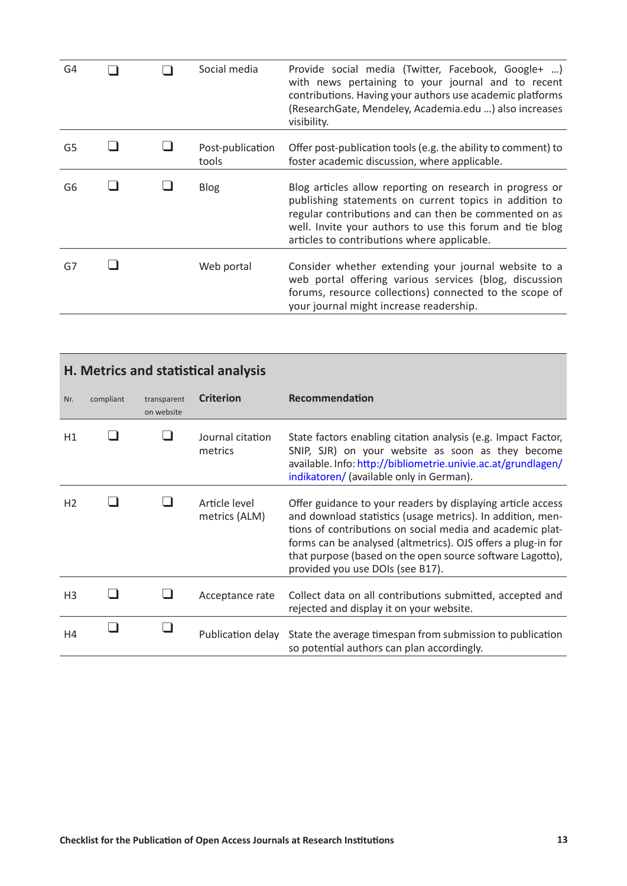<span id="page-12-0"></span>

| G4 |  | Social media              | Provide social media (Twitter, Facebook, Google+ )<br>with news pertaining to your journal and to recent<br>contributions. Having your authors use academic platforms<br>(ResearchGate, Mendeley, Academia.edu ) also increases<br>visibility.                                         |
|----|--|---------------------------|----------------------------------------------------------------------------------------------------------------------------------------------------------------------------------------------------------------------------------------------------------------------------------------|
| G5 |  | Post-publication<br>tools | Offer post-publication tools (e.g. the ability to comment) to<br>foster academic discussion, where applicable.                                                                                                                                                                         |
| G6 |  | <b>Blog</b>               | Blog articles allow reporting on research in progress or<br>publishing statements on current topics in addition to<br>regular contributions and can then be commented on as<br>well. Invite your authors to use this forum and tie blog<br>articles to contributions where applicable. |
| G7 |  | Web portal                | Consider whether extending your journal website to a<br>web portal offering various services (blog, discussion<br>forums, resource collections) connected to the scope of<br>your journal might increase readership.                                                                   |

| <b>H. Metrics and statistical analysis</b> |           |                           |                                |                                                                                                                                                                                                                                                                                                                                                         |  |
|--------------------------------------------|-----------|---------------------------|--------------------------------|---------------------------------------------------------------------------------------------------------------------------------------------------------------------------------------------------------------------------------------------------------------------------------------------------------------------------------------------------------|--|
| Nr.                                        | compliant | transparent<br>on website | <b>Criterion</b>               | Recommendation                                                                                                                                                                                                                                                                                                                                          |  |
| H1                                         |           |                           | Journal citation<br>metrics    | State factors enabling citation analysis (e.g. Impact Factor,<br>SNIP, SJR) on your website as soon as they become<br>available. Info: http://bibliometrie.univie.ac.at/grundlagen/<br>indikatoren/ (available only in German).                                                                                                                         |  |
| H <sub>2</sub>                             |           |                           | Article level<br>metrics (ALM) | Offer guidance to your readers by displaying article access<br>and download statistics (usage metrics). In addition, men-<br>tions of contributions on social media and academic plat-<br>forms can be analysed (altmetrics). OJS offers a plug-in for<br>that purpose (based on the open source software Lagotto),<br>provided you use DOIs (see B17). |  |
| H <sub>3</sub>                             |           |                           | Acceptance rate                | Collect data on all contributions submitted, accepted and<br>rejected and display it on your website.                                                                                                                                                                                                                                                   |  |
| H4                                         |           |                           | Publication delay              | State the average timespan from submission to publication<br>so potential authors can plan accordingly.                                                                                                                                                                                                                                                 |  |